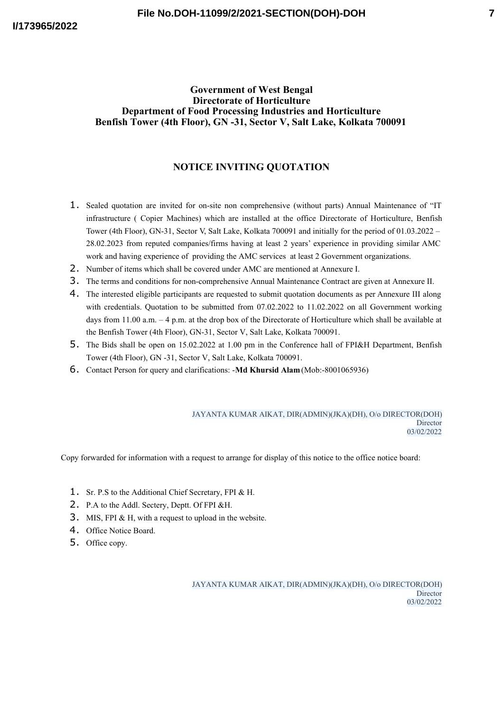### **Government of West Bengal Directorate of Horticulture Department of Food Processing Industries and Horticulture Benfish Tower (4th Floor), GN -31, Sector V, Salt Lake, Kolkata 700091**

## **NOTICE INVITING QUOTATION**

- 1. Sealed quotation are invited for on-site non comprehensive (without parts) Annual Maintenance of "IT infrastructure ( Copier Machines) which are installed at the office Directorate of Horticulture, Benfish Tower (4th Floor), GN-31, Sector V, Salt Lake, Kolkata 700091 and initially for the period of 01.03.2022 – 28.02.2023 from reputed companies/firms having at least 2 years' experience in providing similar AMC work and having experience of providing the AMC services at least 2 Government organizations.
- 2. Number of items which shall be covered under AMC are mentioned at Annexure I.
- 3. The terms and conditions for non-comprehensive Annual Maintenance Contract are given at Annexure II.
- 4. The interested eligible participants are requested to submit quotation documents as per Annexure III along with credentials. Quotation to be submitted from 07.02.2022 to 11.02.2022 on all Government working days from 11.00 a.m. – 4 p.m. at the drop box of the Directorate of Horticulture which shall be available at the Benfish Tower (4th Floor), GN-31, Sector V, Salt Lake, Kolkata 700091.
- 5. The Bids shall be open on 15.02.2022 at 1.00 pm in the Conference hall of FPI&H Department, Benfish Tower (4th Floor), GN -31, Sector V, Salt Lake, Kolkata 700091.
- 6. Contact Person for query and clarifications: -**Md Khursid Alam** (Mob:-8001065936)

JAYANTA KUMAR AIKAT, DIR(ADMIN)(JKA)(DH), O/o DIRECTOR(DOH) Director 03/02/2022

Copy forwarded for information with a request to arrange for display of this notice to the office notice board:

- 1. Sr. P.S to the Additional Chief Secretary, FPI & H.
- 2. P.A to the Addl. Sectery, Deptt. Of FPI &H.
- 3. MIS, FPI & H, with a request to upload in the website.
- 4. Office Notice Board.
- 5. Office copy.

JAYANTA KUMAR AIKAT, DIR(ADMIN)(JKA)(DH), O/o DIRECTOR(DOH) **Director** 03/02/2022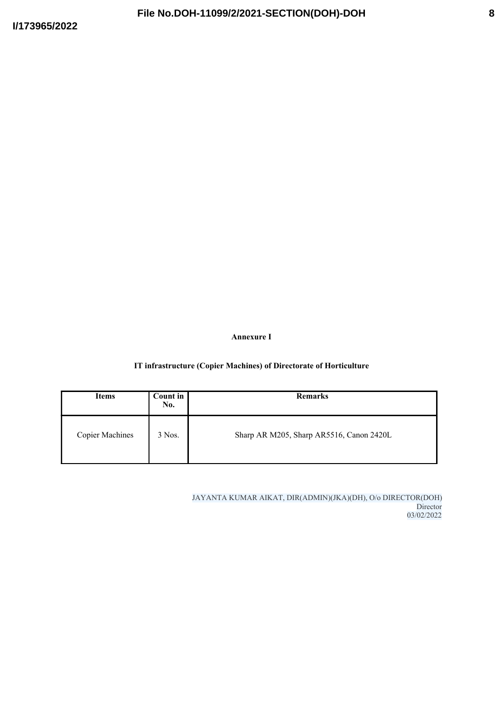**Annexure I**

## **IT infrastructure (Copier Machines) of Directorate of Horticulture**

| <b>Items</b>           | <b>Count in</b><br>No. | <b>Remarks</b>                           |  |
|------------------------|------------------------|------------------------------------------|--|
| <b>Copier Machines</b> | 3 Nos.                 | Sharp AR M205, Sharp AR5516, Canon 2420L |  |

JAYANTA KUMAR AIKAT, DIR(ADMIN)(JKA)(DH), O/o DIRECTOR(DOH) **Director** 03/02/2022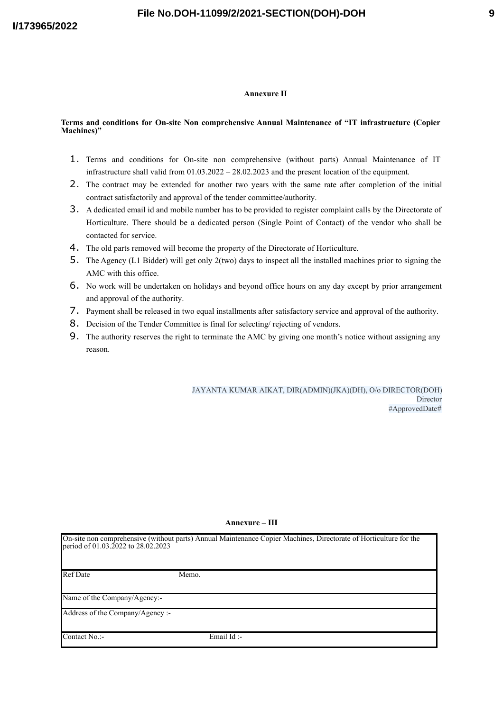# **9**

### **Annexure II**

#### **Terms and conditions for On-site Non comprehensive Annual Maintenance of "IT infrastructure (Copier Machines)"**

- 1. Terms and conditions for On-site non comprehensive (without parts) Annual Maintenance of IT infrastructure shall valid from 01.03.2022 – 28.02.2023 and the present location of the equipment.
- 2. The contract may be extended for another two years with the same rate after completion of the initial contract satisfactorily and approval of the tender committee/authority.
- 3. A dedicated email id and mobile number has to be provided to register complaint calls by the Directorate of Horticulture. There should be a dedicated person (Single Point of Contact) of the vendor who shall be contacted for service.
- 4. The old parts removed will become the property of the Directorate of Horticulture.
- 5. The Agency (L1 Bidder) will get only 2(two) days to inspect all the installed machines prior to signing the AMC with this office.
- 6. No work will be undertaken on holidays and beyond office hours on any day except by prior arrangement and approval of the authority.
- 7. Payment shall be released in two equal installments after satisfactory service and approval of the authority.
- 8. Decision of the Tender Committee is final for selecting/ rejecting of vendors.
- 9. The authority reserves the right to terminate the AMC by giving one month's notice without assigning any reason.

JAYANTA KUMAR AIKAT, DIR(ADMIN)(JKA)(DH), O/o DIRECTOR(DOH) Director #ApprovedDate#

| On-site non comprehensive (without parts) Annual Maintenance Copier Machines, Directorate of Horticulture for the<br>period of 01.03.2022 to 28.02.2023 |  |
|---------------------------------------------------------------------------------------------------------------------------------------------------------|--|
|                                                                                                                                                         |  |

**Annexure – III**

Ref Date Memo.

Name of the Company/Agency:-

Address of the Company/Agency :-

 $\Gamma$ ontact No.: Email Id :-